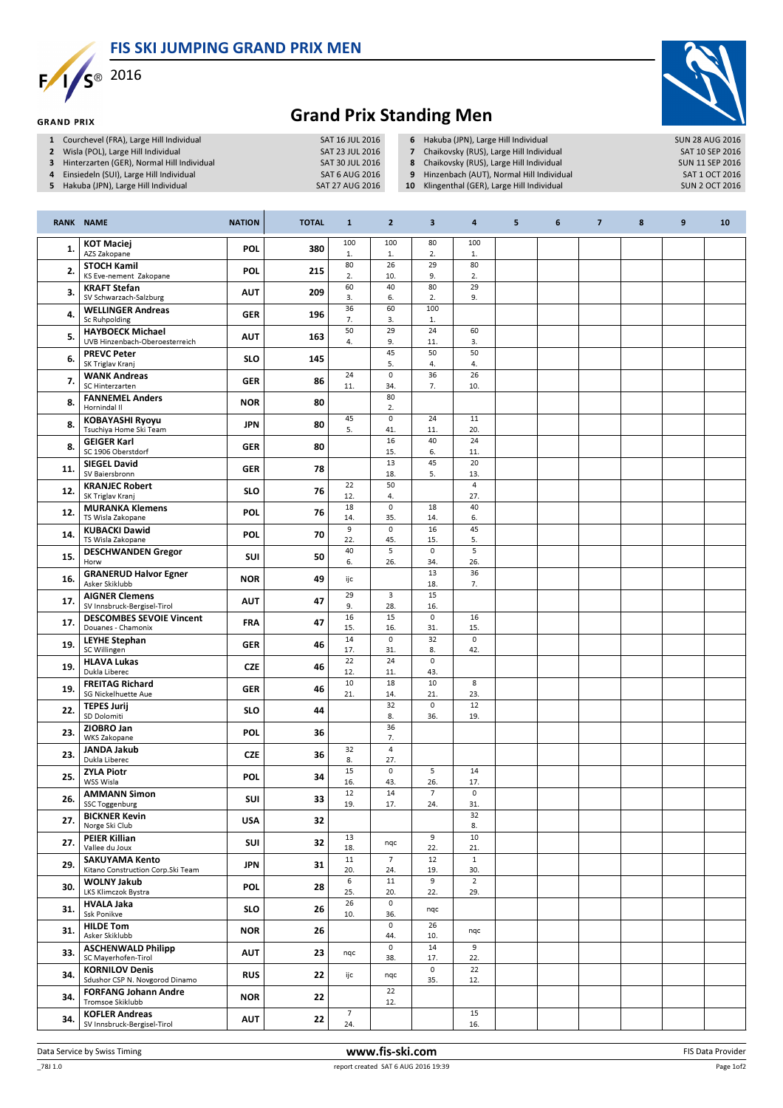FIS SKI JUMPING GRAND PRIX MEN



**GRAND PRIX** 



## Grand Prix Standing Men

- 
- 1 Courchevel (FRA), Large Hill Individual SAT 16 JUL 2016<br>2 Wisla (POL), Large Hill Individual SAT 23 JUL 2016 2 Wisla (POL), Large Hill Individual SAT 23 JUL 2016<br>3 Hinterzarten (GER), Normal Hill Individual SAT 30 JUL 2016
- 3 Hinterzarten (GER), Normal Hill Individual SAT 30 JUL 2016<br>4 Einsiedeln (SUI), Large Hill Individual SAT 6 AUG 2016
- 4 Einsiedeln (SUI), Large Hill Individual SAT 6 AUG 2016<br>1991 SAT 6 AUG 2016 SAT 27 AUG 2016
- 5 Hakuba (JPN), Large Hill Individual
- 6 Hakuba (JPN), Large Hill Individual SUN 28 AUG 2016<br>
7 Chaikovsky (RUS), Large Hill Individual SAT 10 SEP 2016
- 7 Chaikovsky (RUS), Large Hill Individual SAT 10 SEP 2016<br>
8 Chaikovsky (RUS), Large Hill Individual SUN 11 SEP 2016
- 8 Chaikovsky (RUS), Large Hill Individual SUN 11 SEP 2016<br>19 Hinzenbach (AUT), Normal Hill Individual SAT 1 OCT 2016
- 9 Hinzenbach (AUT), Normal Hill Individual SAT 1 OCT 2016<br>10 Klingenthal (GER), Large Hill Individual SUN 2 OCT 2016
- 10 Klingenthal (GER), Large Hill Individual

|     | <b>RANK NAME</b>                                            | <b>NATION</b> | <b>TOTAL</b> | $\mathbf{1}$          | $\overline{2}$             | 3                     | $\overline{\mathbf{a}}$ | 5 | 6 | $\overline{7}$ | 8 | $\boldsymbol{9}$ | 10 |
|-----|-------------------------------------------------------------|---------------|--------------|-----------------------|----------------------------|-----------------------|-------------------------|---|---|----------------|---|------------------|----|
| 1.  | <b>KOT Maciej</b><br>AZS Zakopane                           | <b>POL</b>    | 380          | 100<br>1.             | 100<br>1.                  | 80<br>2.              | 100<br>1.               |   |   |                |   |                  |    |
| 2.  | <b>STOCH Kamil</b><br>KS Eve-nement Zakopane                | <b>POL</b>    | 215          | 80<br>2.              | 26<br>10.                  | 29<br>9.              | 80<br>2.                |   |   |                |   |                  |    |
| 3.  | <b>KRAFT Stefan</b><br>SV Schwarzach-Salzburg               | <b>AUT</b>    | 209          | 60<br>3.              | 40<br>6.                   | 80<br>2.              | 29<br>9.                |   |   |                |   |                  |    |
| 4.  | <b>WELLINGER Andreas</b><br>Sc Ruhpolding                   | <b>GER</b>    | 196          | 36<br>7.              | 60<br>3.                   | 100<br>1.             |                         |   |   |                |   |                  |    |
| 5.  | <b>HAYBOECK Michael</b><br>UVB Hinzenbach-Oberoesterreich   | <b>AUT</b>    | 163          | 50<br>4.              | 29<br>9.                   | 24<br>11.             | 60<br>3.                |   |   |                |   |                  |    |
| 6.  | <b>PREVC Peter</b><br>SK Triglav Kranj                      | <b>SLO</b>    | 145          |                       | 45<br>5.                   | 50<br>4.              | 50<br>4.                |   |   |                |   |                  |    |
| 7.  | <b>WANK Andreas</b><br>SC Hinterzarten                      | <b>GER</b>    | 86           | 24<br>11.             | $\mathsf{o}$<br>34.        | 36<br>7.              | 26<br>10.               |   |   |                |   |                  |    |
| 8.  | <b>FANNEMEL Anders</b><br>Hornindal II                      | <b>NOR</b>    | 80           |                       | 80<br>2.                   |                       |                         |   |   |                |   |                  |    |
| 8.  | <b>KOBAYASHI Ryoyu</b><br>Tsuchiya Home Ski Team            | <b>JPN</b>    | 80           | 45<br>5.              | 0<br>41.                   | 24<br>11.             | 11<br>20.               |   |   |                |   |                  |    |
| 8.  | <b>GEIGER Karl</b><br>SC 1906 Oberstdorf                    | <b>GER</b>    | 80           |                       | 16<br>15.                  | 40<br>6.              | 24<br>11.               |   |   |                |   |                  |    |
| 11. | <b>SIEGEL David</b><br>SV Baiersbronn                       | <b>GER</b>    | 78           |                       | 13<br>18.                  | 45<br>5.              | 20<br>13.               |   |   |                |   |                  |    |
| 12. | <b>KRANJEC Robert</b><br>SK Triglav Kranj                   | <b>SLO</b>    | 76           | 22<br>12.             | 50<br>4.                   |                       | $\overline{4}$<br>27.   |   |   |                |   |                  |    |
| 12. | <b>MURANKA Klemens</b><br>TS Wisla Zakopane                 | <b>POL</b>    | 76           | 18<br>14.             | $\mathsf 0$<br>35.         | 18<br>14.             | 40<br>6.                |   |   |                |   |                  |    |
| 14. | <b>KUBACKI Dawid</b><br>TS Wisla Zakopane                   | <b>POL</b>    | 70           | $\overline{9}$<br>22. | $\mathbf 0$<br>45.         | 16<br>15.             | 45<br>5.                |   |   |                |   |                  |    |
| 15. | <b>DESCHWANDEN Gregor</b><br>Horw                           | <b>SUI</b>    | 50           | 40<br>6.              | 5<br>26.                   | $\mathsf 0$<br>34.    | 5<br>26.                |   |   |                |   |                  |    |
| 16. | <b>GRANERUD Halvor Egner</b><br>Asker Skiklubb              | <b>NOR</b>    | 49           | ijc                   |                            | 13<br>18.             | 36<br>7.                |   |   |                |   |                  |    |
| 17. | <b>AIGNER Clemens</b><br>SV Innsbruck-Bergisel-Tirol        | <b>AUT</b>    | 47           | 29<br>9.              | 3<br>28.                   | 15<br>16.             |                         |   |   |                |   |                  |    |
| 17. | <b>DESCOMBES SEVOIE Vincent</b><br>Douanes - Chamonix       | <b>FRA</b>    | 47           | 16<br>15.             | 15<br>16.                  | 0<br>31.              | 16<br>15.               |   |   |                |   |                  |    |
| 19. | <b>LEYHE Stephan</b><br>SC Willingen                        | <b>GER</b>    | 46           | 14<br>17.             | $\mathbf 0$<br>31.         | 32<br>8.              | $\mathsf{o}$<br>42.     |   |   |                |   |                  |    |
| 19. | <b>HLAVA Lukas</b><br>Dukla Liberec                         | <b>CZE</b>    | 46           | 22<br>12.             | 24<br>11.                  | 0<br>43.              |                         |   |   |                |   |                  |    |
| 19. | <b>FREITAG Richard</b><br>SG Nickelhuette Aue               | <b>GER</b>    | 46           | 10<br>21.             | 18<br>14.                  | 10<br>21.             | 8<br>23.                |   |   |                |   |                  |    |
| 22. | <b>TEPES Jurij</b><br>SD Dolomiti                           | <b>SLO</b>    | 44           |                       | 32<br>8.                   | $\circ$<br>36.        | 12<br>19.               |   |   |                |   |                  |    |
| 23. | ZIOBRO Jan<br><b>WKS Zakopane</b>                           | <b>POL</b>    | 36           |                       | 36<br>7.                   |                       |                         |   |   |                |   |                  |    |
| 23. | <b>JANDA Jakub</b><br>Dukla Liberec                         | <b>CZE</b>    | 36           | 32<br>8.              | $\overline{4}$<br>27.      |                       |                         |   |   |                |   |                  |    |
| 25. | <b>ZYLA Piotr</b><br>WSS Wisla                              | <b>POL</b>    | 34           | 15<br>16.             | $\mathsf{o}$<br>43.        | 5<br>26.              | 14<br>17.               |   |   |                |   |                  |    |
| 26. | <b>AMMANN Simon</b><br><b>SSC Toggenburg</b>                | SUI           | 33           | 12<br>19.             | 14<br>17.                  | $\overline{7}$<br>24. | $\circ$<br>31.          |   |   |                |   |                  |    |
| 27. | <b>BICKNER Kevin</b><br>Norge Ski Club                      | <b>USA</b>    | 32           |                       |                            |                       | 32<br>8.                |   |   |                |   |                  |    |
| 27. | <b>PEIER Killian</b><br>Vallee du Joux                      | <b>SUI</b>    | 32           | 13<br>18.             | nqc                        | 9<br>22.              | 10<br>21.               |   |   |                |   |                  |    |
| 29. | <b>SAKUYAMA Kento</b><br>Kitano Construction Corp. Ski Team | <b>JPN</b>    | 31           | 11<br>20.             | $\overline{7}$<br>24.      | 12<br>19.             | $\mathbf{1}$<br>30.     |   |   |                |   |                  |    |
| 30. | <b>WOLNY Jakub</b><br>LKS Klimczok Bystra                   | POL           | 28           | 6<br>25.              | 11<br>20.                  | 9<br>22.              | $\overline{2}$<br>29.   |   |   |                |   |                  |    |
| 31. | <b>HVALA Jaka</b><br>Ssk Ponikve                            | <b>SLO</b>    | 26           | 26<br>10.             | $\mathsf{o}$<br>36.        | nqc                   |                         |   |   |                |   |                  |    |
| 31. | <b>HILDE Tom</b><br>Asker Skiklubb                          | <b>NOR</b>    | 26           |                       | $\mathsf{o}$<br>44.        | 26<br>10.             | nqc                     |   |   |                |   |                  |    |
| 33. | <b>ASCHENWALD Philipp</b><br>SC Mayerhofen-Tirol            | <b>AUT</b>    | 23           | nqc                   | $\mathsf{O}\xspace$<br>38. | 14<br>17.             | 9<br>22.                |   |   |                |   |                  |    |
| 34. | <b>KORNILOV Denis</b><br>Sdushor CSP N. Novgorod Dinamo     | <b>RUS</b>    | 22           | ijc                   | nqc                        | $\mathsf 0$<br>35.    | 22<br>12.               |   |   |                |   |                  |    |
| 34. | <b>FORFANG Johann Andre</b><br>Tromsoe Skiklubb             | <b>NOR</b>    | 22           |                       | 22<br>12.                  |                       |                         |   |   |                |   |                  |    |
| 34. | <b>KOFLER Andreas</b><br>SV Innsbruck-Bergisel-Tirol        | <b>AUT</b>    | 22           | $\overline{7}$<br>24. |                            |                       | 15<br>16.               |   |   |                |   |                  |    |